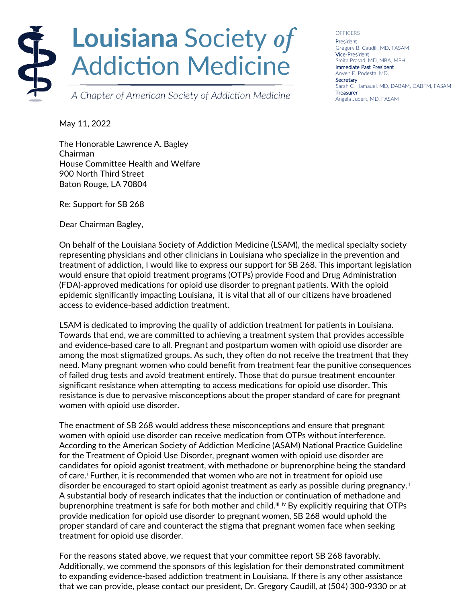

A Chapter of American Society of Addiction Medicine

**OFFICERS** President Gregory B. Caudill, MD, FASAM Vice-President Smita Prasad, MD, MBA, MPH Immediate Past President Arwen E. Podesta, MD, **Secretary** Sarah C. Hamauei, MD, DABAM, DABFM, FASAM **Treasurer** Angela Jubert, MD, FASAM

May 11, 2022

The Honorable Lawrence A. Bagley Chairman House Committee Health and Welfare 900 North Third Street Baton Rouge, LA 70804

Re: Support for SB 268

Dear Chairman Bagley,

On behalf of the Louisiana Society of Addiction Medicine (LSAM), the medical specialty society representing physicians and other clinicians in Louisiana who specialize in the prevention and treatment of addiction, I would like to express our support for SB 268. This important legislation would ensure that opioid treatment programs (OTPs) provide Food and Drug Administration (FDA)-approved medications for opioid use disorder to pregnant patients. With the opioid epidemic significantly impacting Louisiana, it is vital that all of our citizens have broadened access to evidence-based addiction treatment.

LSAM is dedicated to improving the quality of addiction treatment for patients in Louisiana. Towards that end, we are committed to achieving a treatment system that provides accessible and evidence-based care to all. Pregnant and postpartum women with opioid use disorder are among the most stigmatized groups. As such, they often do not receive the treatment that they need. Many pregnant women who could benefit from treatment fear the punitive consequences of failed drug tests and avoid treatment entirely. Those that do pursue treatment encounter significant resistance when attempting to access medications for opioid use disorder. This resistance is due to pervasive misconceptions about the proper standard of care for pregnant women with opioid use disorder.

The enactment of SB 268 would address these misconceptions and ensure that pregnant women with opioid use disorder can receive medication from OTPs without interference. According to the American Society of Addiction Medicine (ASAM) National Practice Guideline for the Treatment of Opioid Use Disorder, pregnant women with opioid use disorder are candidates for opioid agonist treatment, with methadone or buprenorphine being the standard of care.<sup>i</sup> Further, it is recommended that women who are not in treatment for opioid use disorder be encouraged to start opioid agonist treatment as early as possible during pregnancy." A substantial body of research indicates that the induction or continuation of methadone and buprenorphine treatment is safe for both mother and child." iv By explicitly requiring that OTPs provide medication for opioid use disorder to pregnant women, SB 268 would uphold the proper standard of care and counteract the stigma that pregnant women face when seeking treatment for opioid use disorder.

For the reasons stated above, we request that your committee report SB 268 favorably. Additionally, we commend the sponsors of this legislation for their demonstrated commitment to expanding evidence-based addiction treatment in Louisiana. If there is any other assistance that we can provide, please contact our president, Dr. Gregory Caudill, at (504) 300-9330 or at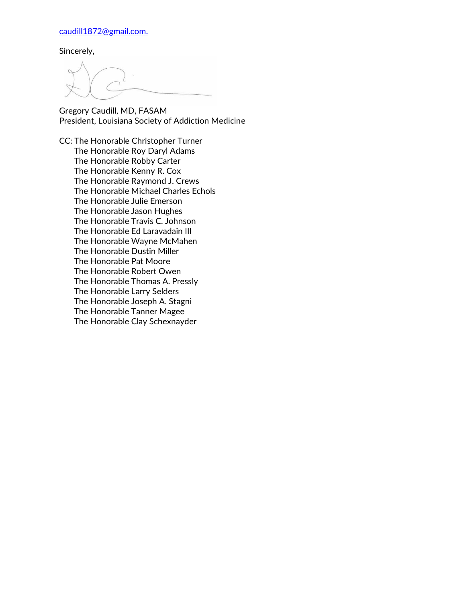[caudill1872@gmail.com.](mailto:caudill1872@gmail.com)

Sincerely,

Gregory Caudill, MD, FASAM President, Louisiana Society of Addiction Medicine

CC: The Honorable Christopher Turner The Honorable Roy Daryl Adams The Honorable Robby Carter The Honorable Kenny R. Cox The Honorable Raymond J. Crews The Honorable Michael Charles Echols The Honorable Julie Emerson The Honorable Jason Hughes The Honorable Travis C. Johnson The Honorable Ed Laravadain III The Honorable Wayne McMahen The Honorable Dustin Miller The Honorable Pat Moore The Honorable Robert Owen The Honorable Thomas A. Pressly The Honorable Larry Selders The Honorable Joseph A. Stagni The Honorable Tanner Magee The Honorable Clay Schexnayder